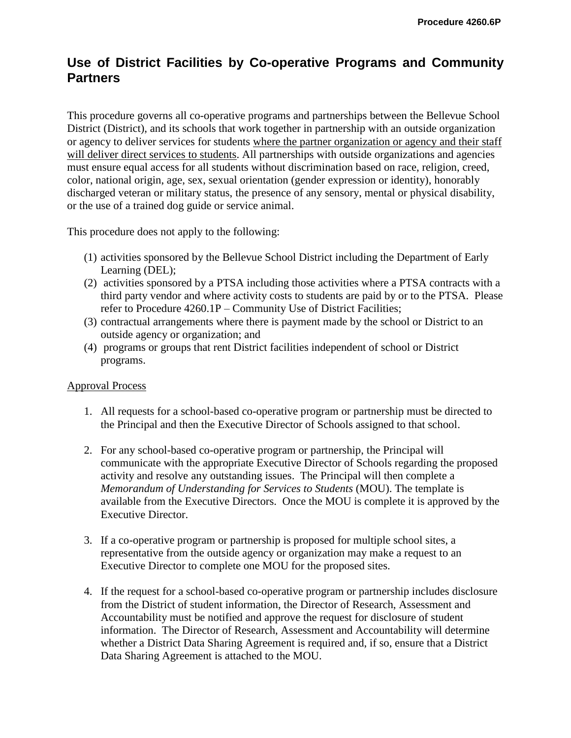## **Use of District Facilities by Co-operative Programs and Community Partners**

This procedure governs all co-operative programs and partnerships between the Bellevue School District (District), and its schools that work together in partnership with an outside organization or agency to deliver services for students where the partner organization or agency and their staff will deliver direct services to students. All partnerships with outside organizations and agencies must ensure equal access for all students without discrimination based on race, religion, creed, color, national origin, age, sex, sexual orientation (gender expression or identity), honorably discharged veteran or military status, the presence of any sensory, mental or physical disability, or the use of a trained dog guide or service animal.

This procedure does not apply to the following:

- (1) activities sponsored by the Bellevue School District including the Department of Early Learning (DEL);
- (2) activities sponsored by a PTSA including those activities where a PTSA contracts with a third party vendor and where activity costs to students are paid by or to the PTSA. Please refer to Procedure 4260.1P – Community Use of District Facilities;
- (3) contractual arrangements where there is payment made by the school or District to an outside agency or organization; and
- (4) programs or groups that rent District facilities independent of school or District programs.

## Approval Process

- 1. All requests for a school-based co-operative program or partnership must be directed to the Principal and then the Executive Director of Schools assigned to that school.
- 2. For any school-based co-operative program or partnership, the Principal will communicate with the appropriate Executive Director of Schools regarding the proposed activity and resolve any outstanding issues. The Principal will then complete a *Memorandum of Understanding for Services to Students* (MOU). The template is available from the Executive Directors. Once the MOU is complete it is approved by the Executive Director.
- 3. If a co-operative program or partnership is proposed for multiple school sites, a representative from the outside agency or organization may make a request to an Executive Director to complete one MOU for the proposed sites.
- 4. If the request for a school-based co-operative program or partnership includes disclosure from the District of student information, the Director of Research, Assessment and Accountability must be notified and approve the request for disclosure of student information. The Director of Research, Assessment and Accountability will determine whether a District Data Sharing Agreement is required and, if so, ensure that a District Data Sharing Agreement is attached to the MOU.